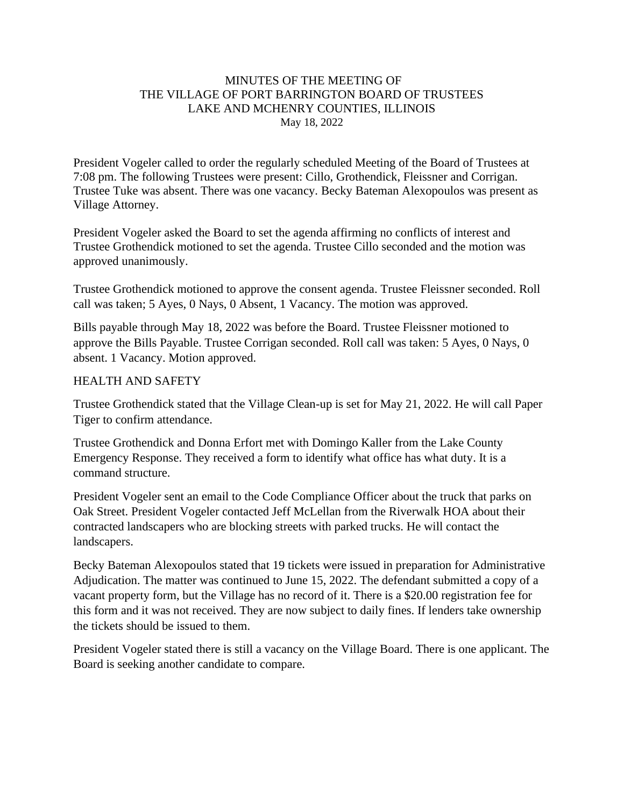## MINUTES OF THE MEETING OF THE VILLAGE OF PORT BARRINGTON BOARD OF TRUSTEES LAKE AND MCHENRY COUNTIES, ILLINOIS May 18, 2022

President Vogeler called to order the regularly scheduled Meeting of the Board of Trustees at 7:08 pm. The following Trustees were present: Cillo, Grothendick, Fleissner and Corrigan. Trustee Tuke was absent. There was one vacancy. Becky Bateman Alexopoulos was present as Village Attorney.

President Vogeler asked the Board to set the agenda affirming no conflicts of interest and Trustee Grothendick motioned to set the agenda. Trustee Cillo seconded and the motion was approved unanimously.

Trustee Grothendick motioned to approve the consent agenda. Trustee Fleissner seconded. Roll call was taken; 5 Ayes, 0 Nays, 0 Absent, 1 Vacancy. The motion was approved.

Bills payable through May 18, 2022 was before the Board. Trustee Fleissner motioned to approve the Bills Payable. Trustee Corrigan seconded. Roll call was taken: 5 Ayes, 0 Nays, 0 absent. 1 Vacancy. Motion approved.

#### HEALTH AND SAFETY

Trustee Grothendick stated that the Village Clean-up is set for May 21, 2022. He will call Paper Tiger to confirm attendance.

Trustee Grothendick and Donna Erfort met with Domingo Kaller from the Lake County Emergency Response. They received a form to identify what office has what duty. It is a command structure.

President Vogeler sent an email to the Code Compliance Officer about the truck that parks on Oak Street. President Vogeler contacted Jeff McLellan from the Riverwalk HOA about their contracted landscapers who are blocking streets with parked trucks. He will contact the landscapers.

Becky Bateman Alexopoulos stated that 19 tickets were issued in preparation for Administrative Adjudication. The matter was continued to June 15, 2022. The defendant submitted a copy of a vacant property form, but the Village has no record of it. There is a \$20.00 registration fee for this form and it was not received. They are now subject to daily fines. If lenders take ownership the tickets should be issued to them.

President Vogeler stated there is still a vacancy on the Village Board. There is one applicant. The Board is seeking another candidate to compare.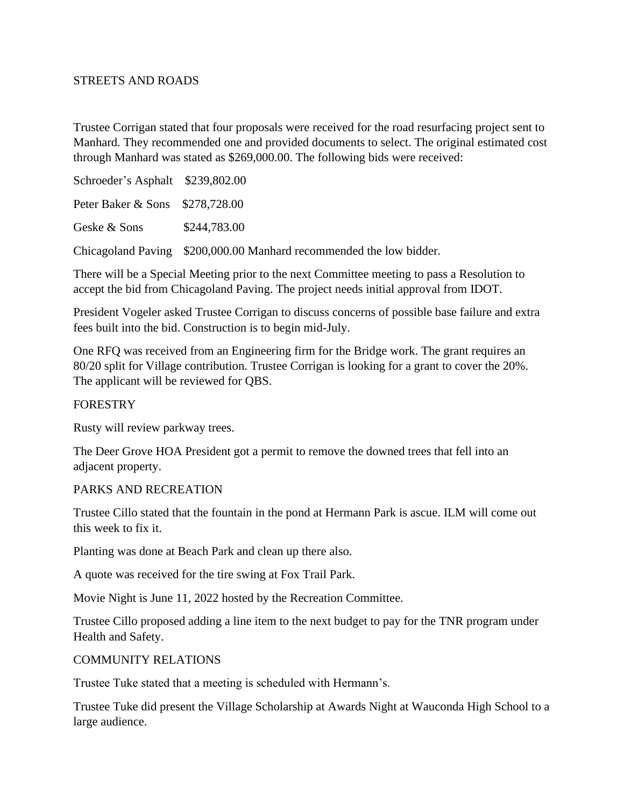## STREETS AND ROADS

Trustee Corrigan stated that four proposals were received for the road resurfacing project sent to Manhard. They recommended one and provided documents to select. The original estimated cost through Manhard was stated as \$269,000.00. The following bids were received:

Schroeder's Asphalt \$239,802.00 Peter Baker & Sons \$278,728.00 Geske & Sons \$244,783.00 Chicagoland Paving \$200,000.00 Manhard recommended the low bidder.

There will be a Special Meeting prior to the next Committee meeting to pass a Resolution to accept the bid from Chicagoland Paving. The project needs initial approval from IDOT.

President Vogeler asked Trustee Corrigan to discuss concerns of possible base failure and extra fees built into the bid. Construction is to begin mid-July.

One RFQ was received from an Engineering firm for the Bridge work. The grant requires an 80/20 split for Village contribution. Trustee Corrigan is looking for a grant to cover the 20%. The applicant will be reviewed for QBS.

### FORESTRY

Rusty will review parkway trees.

The Deer Grove HOA President got a permit to remove the downed trees that fell into an adjacent property.

### PARKS AND RECREATION

Trustee Cillo stated that the fountain in the pond at Hermann Park is ascue. ILM will come out this week to fix it.

Planting was done at Beach Park and clean up there also.

A quote was received for the tire swing at Fox Trail Park.

Movie Night is June 11, 2022 hosted by the Recreation Committee.

Trustee Cillo proposed adding a line item to the next budget to pay for the TNR program under Health and Safety.

### COMMUNITY RELATIONS

Trustee Tuke stated that a meeting is scheduled with Hermann's.

Trustee Tuke did present the Village Scholarship at Awards Night at Wauconda High School to a large audience.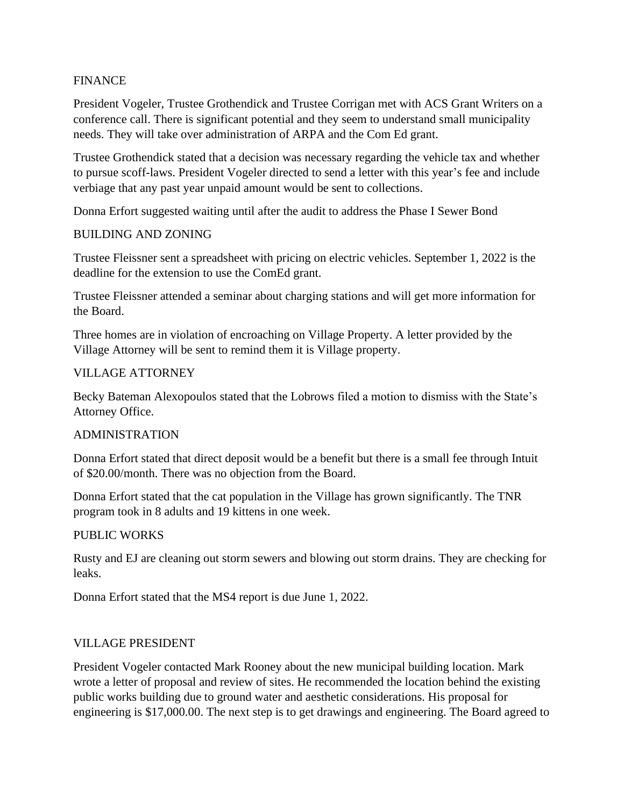## FINANCE

President Vogeler, Trustee Grothendick and Trustee Corrigan met with ACS Grant Writers on a conference call. There is significant potential and they seem to understand small municipality needs. They will take over administration of ARPA and the Com Ed grant.

Trustee Grothendick stated that a decision was necessary regarding the vehicle tax and whether to pursue scoff-laws. President Vogeler directed to send a letter with this year's fee and include verbiage that any past year unpaid amount would be sent to collections.

Donna Erfort suggested waiting until after the audit to address the Phase I Sewer Bond

### BUILDING AND ZONING

Trustee Fleissner sent a spreadsheet with pricing on electric vehicles. September 1, 2022 is the deadline for the extension to use the ComEd grant.

Trustee Fleissner attended a seminar about charging stations and will get more information for the Board.

Three homes are in violation of encroaching on Village Property. A letter provided by the Village Attorney will be sent to remind them it is Village property.

### VILLAGE ATTORNEY

Becky Bateman Alexopoulos stated that the Lobrows filed a motion to dismiss with the State's Attorney Office.

### ADMINISTRATION

Donna Erfort stated that direct deposit would be a benefit but there is a small fee through Intuit of \$20.00/month. There was no objection from the Board.

Donna Erfort stated that the cat population in the Village has grown significantly. The TNR program took in 8 adults and 19 kittens in one week.

### PUBLIC WORKS

Rusty and EJ are cleaning out storm sewers and blowing out storm drains. They are checking for leaks.

Donna Erfort stated that the MS4 report is due June 1, 2022.

### VILLAGE PRESIDENT

President Vogeler contacted Mark Rooney about the new municipal building location. Mark wrote a letter of proposal and review of sites. He recommended the location behind the existing public works building due to ground water and aesthetic considerations. His proposal for engineering is \$17,000.00. The next step is to get drawings and engineering. The Board agreed to